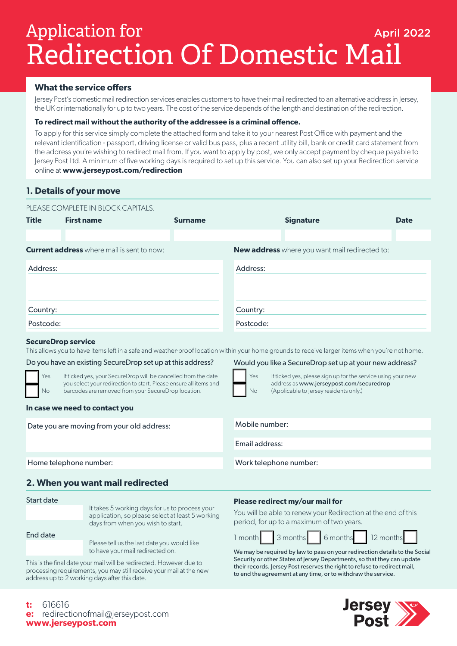# Redirection Of Domestic Mail Application for the Contraction of the April 2022

# **What the service offers**

Jersey Post's domestic mail redirection services enables customers to have their mail redirected to an alternative address in Jersey, the UK or internationally for up to two years. The cost of the service depends of the length and destination of the redirection.

# **To redirect mail without the authority of the addressee is a criminal offence.**

To apply for this service simply complete the attached form and take it to your nearest Post Office with payment and the relevant identification - passport, driving license or valid bus pass, plus a recent utility bill, bank or credit card statement from the address you're wishing to redirect mail from. If you want to apply by post, we only accept payment by cheque payable to Jersey Post Ltd. A minimum of five working days is required to set up this service. You can also set up your Redirection service online at **www.jerseypost.com/redirection**

# **1. Details of your move**

|              | PLEASE COMPLETE IN BLOCK CAPITALS.                |                |                                                       |             |  |
|--------------|---------------------------------------------------|----------------|-------------------------------------------------------|-------------|--|
| <b>Title</b> | <b>First name</b>                                 | <b>Surname</b> | <b>Signature</b>                                      | <b>Date</b> |  |
|              |                                                   |                |                                                       |             |  |
|              | <b>Current address</b> where mail is sent to now: |                | <b>New address</b> where you want mail redirected to: |             |  |
| Address:     |                                                   |                | Address:                                              |             |  |
| Country:     |                                                   |                | Country:                                              |             |  |
| Postcode:    |                                                   |                | Postcode:                                             |             |  |

# **SecureDrop service**

This allows you to have items left in a safe and weather-proof location within your home grounds to receive larger items when you're not home.

## Do you have an existing SecureDrop set up at this address?

Yes If ticked yes, your SecureDrop will be cancelled from the date **Fig.** | Yes you select your redirection to start. Please ensure all items and No barcodes are removed from your SecureDrop location.  $\begin{array}{|c|c|} \hline \quad & \mathsf{\small No} \end{array}$ 

## **In case we need to contact you**

Date you are moving from your old address:

Would you like a SecureDrop set up at your new address?

(Applicable to Jersey residents only.)

If ticked yes, please sign up for the service using your new address as www.jerseypost.com/securedrop

Home telephone number:

# **2. When you want mail redirected**

Start date

It takes 5 working days for us to process your application, so please select at least 5 working days from when you wish to start.

End date

Please tell us the last date you would like to have your mail redirected on.

This is the final date your mail will be redirected. However due to processing requirements, you may still receive your mail at the new address up to 2 working days after this date.

## **Please redirect my/our mail for**

Work telephone number:

Mobile number:

Email address:

You will be able to renew your Redirection at the end of this period, for up to a maximum of two years.



We may be required by law to pass on your redirection details to the Social Security or other States of Jersey Departments, so that they can update their records. Jersey Post reserves the right to refuse to redirect mail, to end the agreement at any time, or to withdraw the service.



**t:** 616616 **e:** redirectionofmail@jerseypost.com **www.jerseypost.com**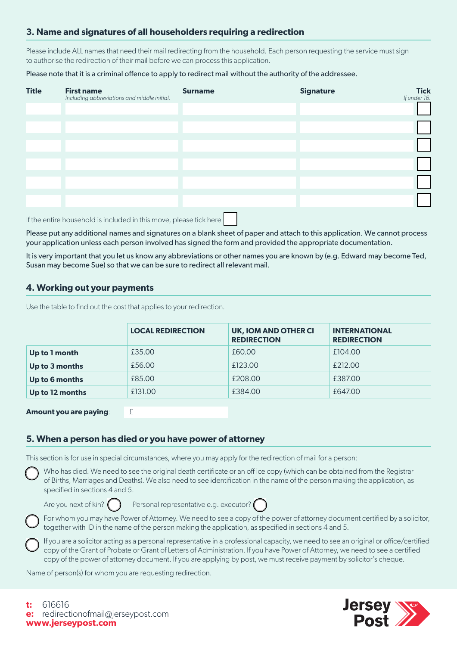# **3. Name and signatures of all householders requiring a redirection**

Please include ALL names that need their mail redirecting from the household. Each person requesting the service must sign to authorise the redirection of their mail before we can process this application.

Please note that it is a criminal offence to apply to redirect mail without the authority of the addressee.

| <b>Title</b> | <b>First name</b><br>Including abbreviations and middle initial. | <b>Surname</b> | <b>Signature</b> | <b>Tick</b><br>If under 16. |
|--------------|------------------------------------------------------------------|----------------|------------------|-----------------------------|
|              |                                                                  |                |                  |                             |
|              |                                                                  |                |                  |                             |
|              |                                                                  |                |                  |                             |
|              |                                                                  |                |                  |                             |
|              |                                                                  |                |                  |                             |
|              |                                                                  |                |                  |                             |
|              |                                                                  |                |                  |                             |
|              |                                                                  |                |                  |                             |

If the entire household is included in this move, please tick here

Please put any additional names and signatures on a blank sheet of paper and attach to this application. We cannot process your application unless each person involved has signed the form and provided the appropriate documentation.

It is very important that you let us know any abbreviations or other names you are known by (e.g. Edward may become Ted, Susan may become Sue) so that we can be sure to redirect all relevant mail.

# **4. Working out your payments**

Use the table to find out the cost that applies to your redirection.

|                 | <b>LOCAL REDIRECTION</b> | UK, IOM AND OTHER CI<br><b>REDIRECTION</b> | <b>INTERNATIONAL</b><br><b>REDIRECTION</b> |
|-----------------|--------------------------|--------------------------------------------|--------------------------------------------|
| Up to 1 month   | £35.00                   | £60.00                                     | £104.00                                    |
| Up to 3 months  | £56.00                   | £123.00                                    | £212.00                                    |
| Up to 6 months  | £85.00                   | £208.00                                    | £387.00                                    |
| Up to 12 months | £131.00                  | £384.00                                    | £647.00                                    |

**Amount you are paying:**  $\qquad \qquad \in$ 

# **5. When a person has died or you have power of attorney**

This section is for use in special circumstances, where you may apply for the redirection of mail for a person:

 Who has died. We need to see the original death certificate or an off ice copy (which can be obtained from the Registrar of Births, Marriages and Deaths). We also need to see identification in the name of the person making the application, as specified in sections 4 and 5.

Are you next of kin?  $\binom{p}{r}$  Personal representative e.g. executor?

 For whom you may have Power of Attorney. We need to see a copy of the power of attorney document certified by a solicitor, together with ID in the name of the person making the application, as specified in sections 4 and 5.

 If you are a solicitor acting as a personal representative in a professional capacity, we need to see an original or office/certified copy of the Grant of Probate or Grant of Letters of Administration. If you have Power of Attorney, we need to see a certified copy of the power of attorney document. If you are applying by post, we must receive payment by solicitor's cheque.

Name of person(s) for whom you are requesting redirection.

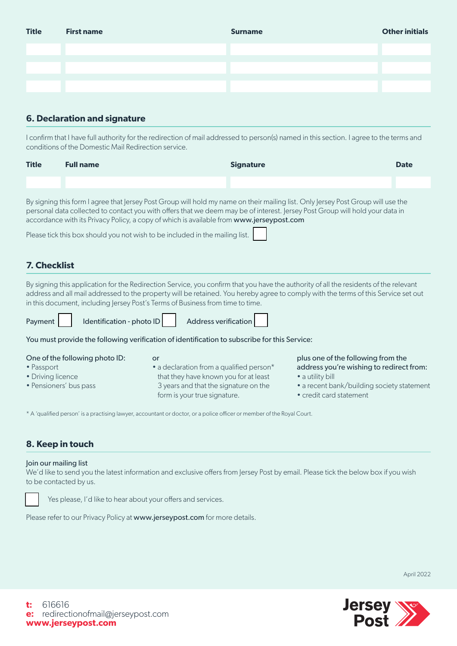| <b>Title</b> | <b>First name</b> | <b>Surname</b> | <b>Other initials</b> |
|--------------|-------------------|----------------|-----------------------|
|              |                   |                |                       |
|              |                   |                |                       |
|              |                   |                |                       |
|              |                   |                |                       |
|              |                   |                |                       |

# **6. Declaration and signature**

I confirm that I have full authority for the redirection of mail addressed to person(s) named in this section. I agree to the terms and conditions of the Domestic Mail Redirection service.

| <b>Title</b> | <b>Full name</b>                                                                                                                                                                                                                                                                                                                                                                                                                                                                                                                                                                                  | <b>Signature</b> | <b>Date</b> |
|--------------|---------------------------------------------------------------------------------------------------------------------------------------------------------------------------------------------------------------------------------------------------------------------------------------------------------------------------------------------------------------------------------------------------------------------------------------------------------------------------------------------------------------------------------------------------------------------------------------------------|------------------|-------------|
|              |                                                                                                                                                                                                                                                                                                                                                                                                                                                                                                                                                                                                   |                  |             |
|              | By signing this form I agree that Jersey Post Group will hold my name on their mailing list. Only Jersey Post Group will use the<br>personal data collected to contact you with offers that we deem may be of interest. Jersey Post Group will hold your data in<br>accordance with its Privacy Policy, a copy of which is available from www.jerseypost.com<br>$\mathbf{D}$ . The contract of the contract of the contract of the contract of the contract of the contract of the contract of the contract of the contract of the contract of the contract of the contract of the contract of th |                  |             |

Please tick this box should you not wish to be included in the mailing list.

# **7. Checklist**

By signing this application for the Redirection Service, you confirm that you have the authority of all the residents of the relevant address and all mail addressed to the property will be retained. You hereby agree to comply with the terms of this Service set out in this document, including Jersey Post's Terms of Business from time to time.



You must provide the following verification of identification to subscribe for this Service:

|  |  | One of the following photo ID: |  |
|--|--|--------------------------------|--|
|  |  |                                |  |

- Passport
- Driving licence
- Pensioners' bus pass
- or • a declaration from a qualified person\* that they have known you for at least 3 years and that the signature on the form is your true signature.

plus one of the following from the address you're wishing to redirect from: • a utility bill

- a recent bank/building society statement
- credit card statement

\* A 'qualified person' is a practising lawyer, accountant or doctor, or a police officer or member of the Royal Court.

# **8. Keep in touch**

# Join our mailing list

We'd like to send you the latest information and exclusive offers from Jersey Post by email. Please tick the below box if you wish to be contacted by us.



Yes please, I'd like to hear about your offers and services.

Please refer to our Privacy Policy at www.jerseypost.com for more details.